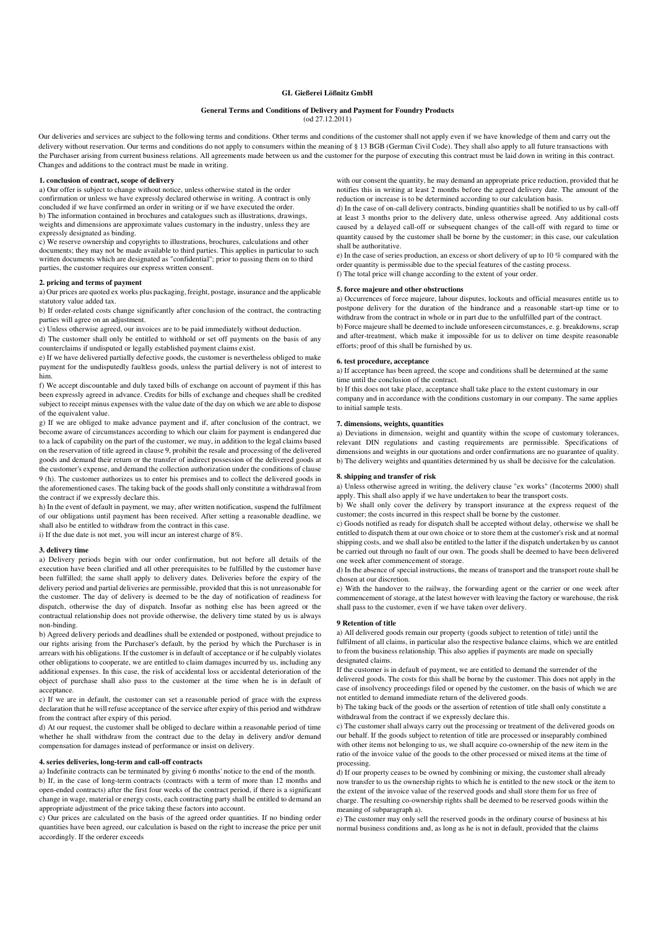# **GL Gießerei Lößnitz GmbH**

# **General Terms and Conditions of Delivery and Payment for Foundry Products**

(od 27.12.2011)

Our deliveries and services are subject to the following terms and conditions. Other terms and conditions of the customer shall not apply even if we have knowledge of them and carry out the delivery without reservation. Our terms and conditions do not apply to consumers within the meaning of § 13 BGB (German Civil Code). They shall also apply to all future transactions with the Purchaser arising from current business relations. All agreements made between us and the customer for the purpose of executing this contract must be laid down in writing in this contract. Changes and additions to the contract must be made in writing.

#### **1. conclusion of contract, scope of delivery**

a) Our offer is subject to change without notice, unless otherwise stated in the order confirmation or unless we have expressly declared otherwise in writing. A contract is only concluded if we have confirmed an order in writing or if we have executed the order. b) The information contained in brochures and catalogues such as illustrations, drawings, weights and dimensions are approximate values customary in the industry, unless they are expressly designated as binding.

c) We reserve ownership and copyrights to illustrations, brochures, calculations and other documents; they may not be made available to third parties. This applies in particular to such written documents which are designated as "confidential"; prior to passing them on to third parties, the customer requires our express written consent.

### **2. pricing and terms of payment**

a) Our prices are quoted ex works plus packaging, freight, postage, insurance and the applicable statutory value added tax.

b) If order-related costs change significantly after conclusion of the contract, the contracting parties will agree on an adjustment.

c) Unless otherwise agreed, our invoices are to be paid immediately without deduction.

d) The customer shall only be entitled to withhold or set off payments on the basis of any counterclaims if undisputed or legally established payment claims exist.

e) If we have delivered partially defective goods, the customer is nevertheless obliged to make payment for the undisputedly faultless goods, unless the partial delivery is not of interest to him.

f) We accept discountable and duly taxed bills of exchange on account of payment if this has been expressly agreed in advance. Credits for bills of exchange and cheques shall be credited subject to receipt minus expenses with the value date of the day on which we are able to dispose of the equivalent value.

g) If we are obliged to make advance payment and if, after conclusion of the contract, we become aware of circumstances according to which our claim for payment is endangered due to a lack of capability on the part of the customer, we may, in addition to the legal claims based on the reservation of title agreed in clause 9, prohibit the resale and processing of the delivered goods and demand their return or the transfer of indirect possession of the delivered goods at the customer's expense, and demand the collection authorization under the conditions of clause 9 (h). The customer authorizes us to enter his premises and to collect the delivered goods in the aforementioned cases. The taking back of the goods shall only constitute a withdrawal from the contract if we expressly declare this.

h) In the event of default in payment, we may, after written notification, suspend the fulfilment of our obligations until payment has been received. After setting a reasonable deadline, we shall also be entitled to withdraw from the contract in this case.

i) If the due date is not met, you will incur an interest charge of 8%.

### **3. delivery time**

a) Delivery periods begin with our order confirmation, but not before all details of the execution have been clarified and all other prerequisites to be fulfilled by the customer have been fulfilled; the same shall apply to delivery dates. Deliveries before the expiry of the delivery period and partial deliveries are permissible, provided that this is not unreasonable for the customer. The day of delivery is deemed to be the day of notification of readiness for dispatch, otherwise the day of dispatch. Insofar as nothing else has been agreed or the contractual relationship does not provide otherwise, the delivery time stated by us is always non-binding.

b) Agreed delivery periods and deadlines shall be extended or postponed, without prejudice to our rights arising from the Purchaser's default, by the period by which the Purchaser is in arrears with his obligations. If the customer is in default of acceptance or if he culpably violates other obligations to cooperate, we are entitled to claim damages incurred by us, including any additional expenses. In this case, the risk of accidental loss or accidental deterioration of the object of purchase shall also pass to the customer at the time when he is in default of acceptance.

c) If we are in default, the customer can set a reasonable period of grace with the express declaration that he will refuse acceptance of the service after expiry of this period and withdraw from the contract after expiry of this period.

d) At our request, the customer shall be obliged to declare within a reasonable period of time whether he shall withdraw from the contract due to the delay in delivery and/or demand compensation for damages instead of performance or insist on delivery.

#### **4. series deliveries, long-term and call-off contracts**

a) Indefinite contracts can be terminated by giving 6 months' notice to the end of the month. b) If, in the case of long-term contracts (contracts with a term of more than 12 months and open-ended contracts) after the first four weeks of the contract period, if there is a significant change in wage, material or energy costs, each contracting party shall be entitled to demand an appropriate adjustment of the price taking these factors into account.

c) Our prices are calculated on the basis of the agreed order quantities. If no binding order quantities have been agreed, our calculation is based on the right to increase the price per unit accordingly. If the orderer exceeds

with our consent the quantity, he may demand an appropriate price reduction, provided that he notifies this in writing at least 2 months before the agreed delivery date. The amount of the reduction or increase is to be determined according to our calculation basis.

d) In the case of on-call delivery contracts, binding quantities shall be notified to us by call-off at least 3 months prior to the delivery date, unless otherwise agreed. Any additional costs caused by a delayed call-off or subsequent changes of the call-off with regard to time or quantity caused by the customer shall be borne by the customer; in this case, our calculation shall be authoritative.

e) In the case of series production, an excess or short delivery of up to 10 % compared with the order quantity is permissible due to the special features of the casting process. f) The total price will change according to the extent of your order.

# **5. force majeure and other obstructions**

a) Occurrences of force majeure, labour disputes, lockouts and official measures entitle us to postpone delivery for the duration of the hindrance and a reasonable start-up time or to withdraw from the contract in whole or in part due to the unfulfilled part of the contract. b) Force majeure shall be deemed to include unforeseen circumstances, e. g. breakdowns, scrap

and after-treatment, which make it impossible for us to deliver on time despite reasonable efforts; proof of this shall be furnished by us.

### **6. test procedure, acceptance**

to initial sample tests.

a) If acceptance has been agreed, the scope and conditions shall be determined at the same time until the conclusion of the contract.

b) If this does not take place, acceptance shall take place to the extent customary in our company and in accordance with the conditions customary in our company. The same applies

#### **7. dimensions, weights, quantities**

a) Deviations in dimension, weight and quantity within the scope of customary tolerances, relevant DIN regulations and casting requirements are permissible. Specifications of dimensions and weights in our quotations and order confirmations are no guarantee of quality. b) The delivery weights and quantities determined by us shall be decisive for the calculation.

#### **8. shipping and transfer of risk**

a) Unless otherwise agreed in writing, the delivery clause "ex works" (Incoterms 2000) shall apply. This shall also apply if we have undertaken to bear the transport costs.

b) We shall only cover the delivery by transport insurance at the express request of the customer; the costs incurred in this respect shall be borne by the customer.

c) Goods notified as ready for dispatch shall be accepted without delay, otherwise we shall be entitled to dispatch them at our own choice or to store them at the customer's risk and at normal shipping costs, and we shall also be entitled to the latter if the dispatch undertaken by us cannot be carried out through no fault of our own. The goods shall be deemed to have been delivered one week after commencement of storage.

d) In the absence of special instructions, the means of transport and the transport route shall be chosen at our discretion.

e) With the handover to the railway, the forwarding agent or the carrier or one week after commencement of storage, at the latest however with leaving the factory or warehouse, the risk shall pass to the customer, even if we have taken over delivery.

#### **9 Retention of title**

a) All delivered goods remain our property (goods subject to retention of title) until the fulfilment of all claims, in particular also the respective balance claims, which we are entitled to from the business relationship. This also applies if payments are made on specially designated claims.

If the customer is in default of payment, we are entitled to demand the surrender of the delivered goods. The costs for this shall be borne by the customer. This does not apply in the case of insolvency proceedings filed or opened by the customer, on the basis of which we are not entitled to demand immediate return of the delivered goods.

b) The taking back of the goods or the assertion of retention of title shall only constitute a withdrawal from the contract if we expressly declare this.

c) The customer shall always carry out the processing or treatment of the delivered goods on our behalf. If the goods subject to retention of title are processed or inseparably combined with other items not belonging to us, we shall acquire co-ownership of the new item in the ratio of the invoice value of the goods to the other processed or mixed items at the time of processing.

d) If our property ceases to be owned by combining or mixing, the customer shall already now transfer to us the ownership rights to which he is entitled to the new stock or the item to the extent of the invoice value of the reserved goods and shall store them for us free of charge. The resulting co-ownership rights shall be deemed to be reserved goods within the meaning of subparagraph a).

e) The customer may only sell the reserved goods in the ordinary course of business at his normal business conditions and, as long as he is not in default, provided that the claims